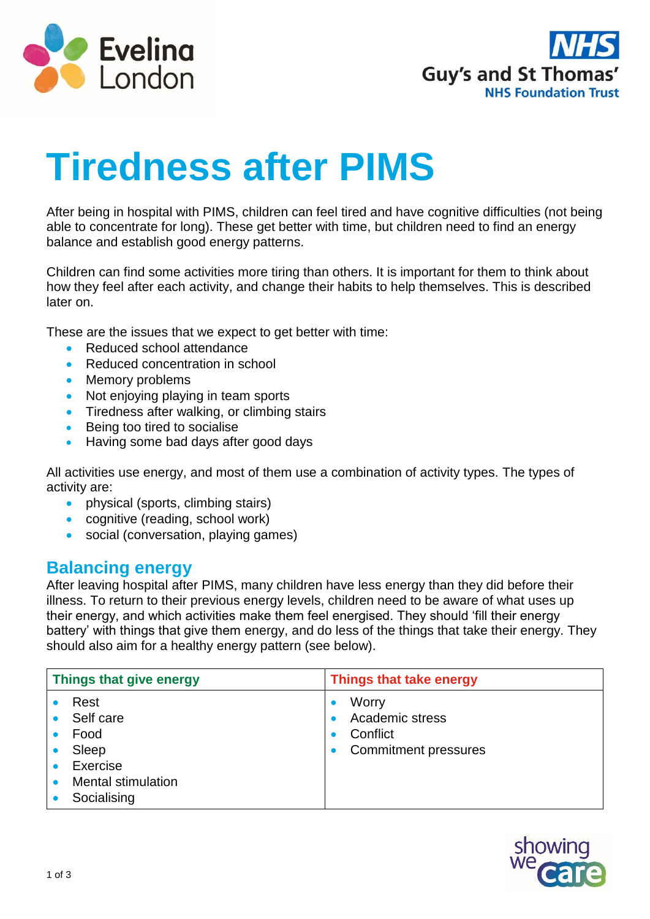



# **Tiredness after PIMS**

After being in hospital with PIMS, children can feel tired and have cognitive difficulties (not being able to concentrate for long). These get better with time, but children need to find an energy balance and establish good energy patterns.

Children can find some activities more tiring than others. It is important for them to think about how they feel after each activity, and change their habits to help themselves. This is described later on.

These are the issues that we expect to get better with time:

- Reduced school attendance
- Reduced concentration in school
- Memory problems
- Not enjoying playing in team sports
- **Tiredness after walking, or climbing stairs**
- **Being too tired to socialise**
- Having some bad days after good days

All activities use energy, and most of them use a combination of activity types. The types of activity are:

- physical (sports, climbing stairs)
- cognitive (reading, school work)
- social (conversation, playing games)

# **Balancing energy**

After leaving hospital after PIMS, many children have less energy than they did before their illness. To return to their previous energy levels, children need to be aware of what uses up their energy, and which activities make them feel energised. They should 'fill their energy battery' with things that give them energy, and do less of the things that take their energy. They should also aim for a healthy energy pattern (see below).

| Things that give energy |                                                                                            | Things that take energy                                             |  |
|-------------------------|--------------------------------------------------------------------------------------------|---------------------------------------------------------------------|--|
|                         | Rest<br>Self care<br>Food<br>Sleep<br>Exercise<br><b>Mental stimulation</b><br>Socialising | Worry<br>Academic stress<br>Conflict<br><b>Commitment pressures</b> |  |

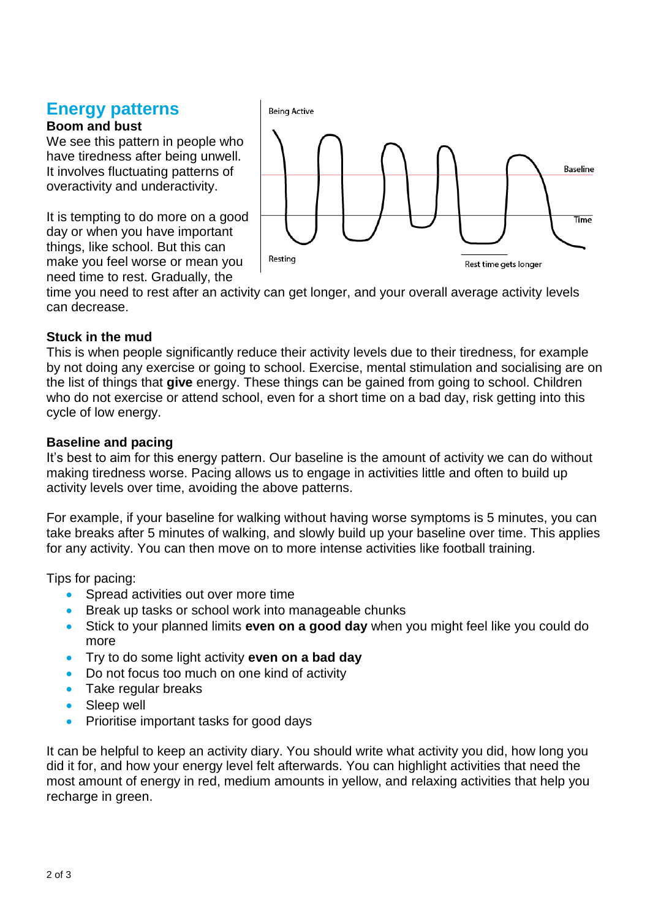# **Energy patterns**

## **Boom and bust**

We see this pattern in people who have tiredness after being unwell. It involves fluctuating patterns of overactivity and underactivity.

It is tempting to do more on a good day or when you have important things, like school. But this can make you feel worse or mean you need time to rest. Gradually, the



time you need to rest after an activity can get longer, and your overall average activity levels can decrease.

## **Stuck in the mud**

This is when people significantly reduce their activity levels due to their tiredness, for example by not doing any exercise or going to school. Exercise, mental stimulation and socialising are on the list of things that **give** energy. These things can be gained from going to school. Children who do not exercise or attend school, even for a short time on a bad day, risk getting into this cycle of low energy.

## **Baseline and pacing**

It's best to aim for this energy pattern. Our baseline is the amount of activity we can do without making tiredness worse. Pacing allows us to engage in activities little and often to build up activity levels over time, avoiding the above patterns.

For example, if your baseline for walking without having worse symptoms is 5 minutes, you can take breaks after 5 minutes of walking, and slowly build up your baseline over time. This applies for any activity. You can then move on to more intense activities like football training.

Tips for pacing:

- Spread activities out over more time
- Break up tasks or school work into manageable chunks
- Stick to your planned limits **even on a good day** when you might feel like you could do more
- Try to do some light activity **even on a bad day**
- Do not focus too much on one kind of activity
- Take regular breaks
- Sleep well
- Prioritise important tasks for good days

It can be helpful to keep an activity diary. You should write what activity you did, how long you did it for, and how your energy level felt afterwards. You can highlight activities that need the most amount of energy in red, medium amounts in yellow, and relaxing activities that help you recharge in green.